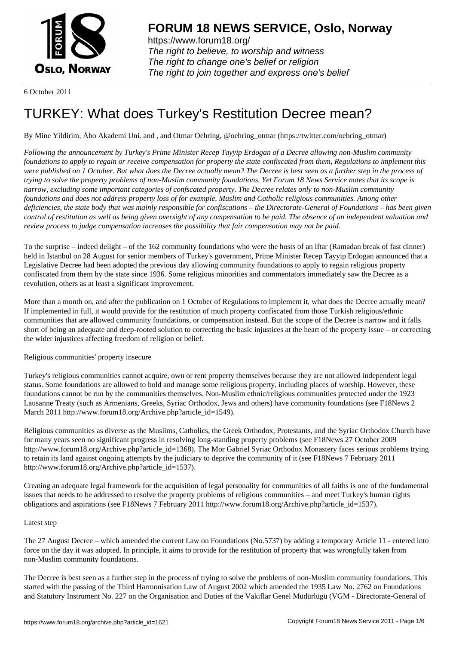

https://www.forum18.org/ The right to believe, to worship and witness The right to change one's belief or religion [The right to join together a](https://www.forum18.org/)nd express one's belief

6 October 2011

# [TURKEY: What](https://www.forum18.org) does Turkey's Restitution Decree mean?

By Mine Yildirim, Åbo Akademi Uni. and , and Otmar Oehring, @oehring\_otmar (https://twitter.com/oehring\_otmar)

*Following the announcement by Turkey's Prime Minister Recep Tayyip Erdogan of a Decree allowing non-Muslim community foundations to apply to regain or receive compensation for property the state confiscated from them, Regulations to implement this were published on 1 October. But what does the Decree actually mean? The Decree is best seen as a further step in the process of trying to solve the property problems of non-Muslim community foundations. Yet Forum 18 News Service notes that its scope is narrow, excluding some important categories of confscated property. The Decree relates only to non-Muslim community foundations and does not address property loss of for example, Muslim and Catholic religious communities. Among other deficiencies, the state body that was mainly responsible for confiscations – the Directorate-General of Foundations – has been given control of restitution as well as being given oversight of any compensation to be paid. The absence of an independent valuation and review process to judge compensation increases the possibility that fair compensation may not be paid.*

To the surprise – indeed delight – of the 162 community foundations who were the hosts of an iftar (Ramadan break of fast dinner) held in Istanbul on 28 August for senior members of Turkey's government, Prime Minister Recep Tayyip Erdogan announced that a Legislative Decree had been adopted the previous day allowing community foundations to apply to regain religious property confiscated from them by the state since 1936. Some religious minorities and commentators immediately saw the Decree as a revolution, others as at least a significant improvement.

More than a month on, and after the publication on 1 October of Regulations to implement it, what does the Decree actually mean? If implemented in full, it would provide for the restitution of much property confiscated from those Turkish religious/ethnic communities that are allowed community foundations, or compensation instead. But the scope of the Decree is narrow and it falls short of being an adequate and deep-rooted solution to correcting the basic injustices at the heart of the property issue – or correcting the wider injustices affecting freedom of religion or belief.

Religious communities' property insecure

Turkey's religious communities cannot acquire, own or rent property themselves because they are not allowed independent legal status. Some foundations are allowed to hold and manage some religious property, including places of worship. However, these foundations cannot be run by the communities themselves. Non-Muslim ethnic/religious communities protected under the 1923 Lausanne Treaty (such as Armenians, Greeks, Syriac Orthodox, Jews and others) have community foundations (see F18News 2 March 2011 http://www.forum18.org/Archive.php?article\_id=1549).

Religious communities as diverse as the Muslims, Catholics, the Greek Orthodox, Protestants, and the Syriac Orthodox Church have for many years seen no significant progress in resolving long-standing property problems (see F18News 27 October 2009 http://www.forum18.org/Archive.php?article\_id=1368). The Mor Gabriel Syriac Orthodox Monastery faces serious problems trying to retain its land against ongoing attempts by the judiciary to deprive the community of it (see F18News 7 February 2011 http://www.forum18.org/Archive.php?article\_id=1537).

Creating an adequate legal framework for the acquisition of legal personality for communities of all faiths is one of the fundamental issues that needs to be addressed to resolve the property problems of religious communities – and meet Turkey's human rights obligations and aspirations (see F18News 7 February 2011 http://www.forum18.org/Archive.php?article\_id=1537).

## Latest step

The 27 August Decree – which amended the current Law on Foundations (No.5737) by adding a temporary Article 11 - entered into force on the day it was adopted. In principle, it aims to provide for the restitution of property that was wrongfully taken from non-Muslim community foundations.

The Decree is best seen as a further step in the process of trying to solve the problems of non-Muslim community foundations. This started with the passing of the Third Harmonisation Law of August 2002 which amended the 1935 Law No. 2762 on Foundations and Statutory Instrument No. 227 on the Organisation and Duties of the Vakiflar Genel Müdürlügü (VGM - Directorate-General of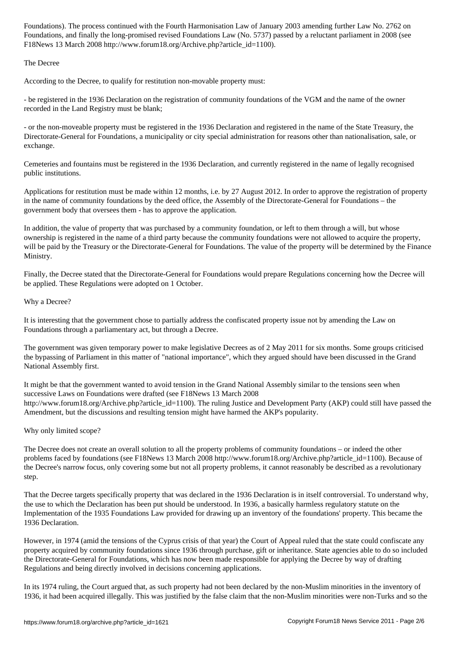Foundations, and finally the long-promised revised  $\mathcal{A}$  relations  $\mathcal{A}$  relations  $\mathcal{A}$ F18News 13 March 2008 http://www.forum18.org/Archive.php?article\_id=1100).

The Decree

According to the Decree, to qualify for restitution non-movable property must:

- be registered in the 1936 Declaration on the registration of community foundations of the VGM and the name of the owner recorded in the Land Registry must be blank;

- or the non-moveable property must be registered in the 1936 Declaration and registered in the name of the State Treasury, the Directorate-General for Foundations, a municipality or city special administration for reasons other than nationalisation, sale, or exchange.

Cemeteries and fountains must be registered in the 1936 Declaration, and currently registered in the name of legally recognised public institutions.

Applications for restitution must be made within 12 months, i.e. by 27 August 2012. In order to approve the registration of property in the name of community foundations by the deed office, the Assembly of the Directorate-General for Foundations – the government body that oversees them - has to approve the application.

In addition, the value of property that was purchased by a community foundation, or left to them through a will, but whose ownership is registered in the name of a third party because the community foundations were not allowed to acquire the property, will be paid by the Treasury or the Directorate-General for Foundations. The value of the property will be determined by the Finance Ministry.

Finally, the Decree stated that the Directorate-General for Foundations would prepare Regulations concerning how the Decree will be applied. These Regulations were adopted on 1 October.

## Why a Decree?

It is interesting that the government chose to partially address the confiscated property issue not by amending the Law on Foundations through a parliamentary act, but through a Decree.

The government was given temporary power to make legislative Decrees as of 2 May 2011 for six months. Some groups criticised the bypassing of Parliament in this matter of "national importance", which they argued should have been discussed in the Grand National Assembly first.

It might be that the government wanted to avoid tension in the Grand National Assembly similar to the tensions seen when successive Laws on Foundations were drafted (see F18News 13 March 2008 http://www.forum18.org/Archive.php?article\_id=1100). The ruling Justice and Development Party (AKP) could still have passed the Amendment, but the discussions and resulting tension might have harmed the AKP's popularity.

## Why only limited scope?

The Decree does not create an overall solution to all the property problems of community foundations – or indeed the other problems faced by foundations (see F18News 13 March 2008 http://www.forum18.org/Archive.php?article\_id=1100). Because of the Decree's narrow focus, only covering some but not all property problems, it cannot reasonably be described as a revolutionary step.

That the Decree targets specifically property that was declared in the 1936 Declaration is in itself controversial. To understand why, the use to which the Declaration has been put should be understood. In 1936, a basically harmless regulatory statute on the Implementation of the 1935 Foundations Law provided for drawing up an inventory of the foundations' property. This became the 1936 Declaration.

However, in 1974 (amid the tensions of the Cyprus crisis of that year) the Court of Appeal ruled that the state could confiscate any property acquired by community foundations since 1936 through purchase, gift or inheritance. State agencies able to do so included the Directorate-General for Foundations, which has now been made responsible for applying the Decree by way of drafting Regulations and being directly involved in decisions concerning applications.

In its 1974 ruling, the Court argued that, as such property had not been declared by the non-Muslim minorities in the inventory of 1936, it had been acquired illegally. This was justified by the false claim that the non-Muslim minorities were non-Turks and so the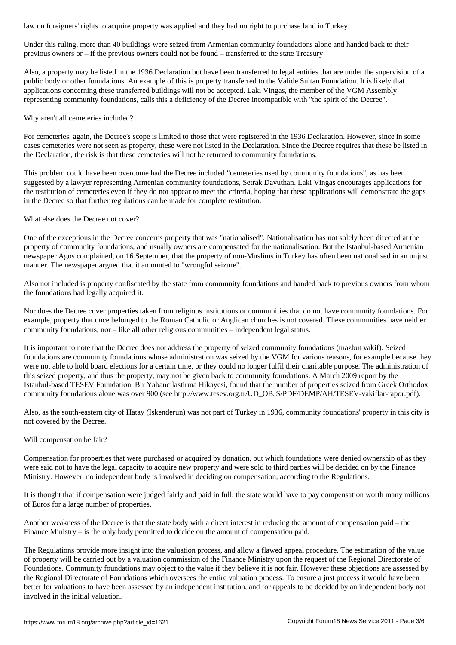Under this ruling, more than 40 buildings were seized from Armenian community foundations alone and handed back to their previous owners or – if the previous owners could not be found – transferred to the state Treasury.

Also, a property may be listed in the 1936 Declaration but have been transferred to legal entities that are under the supervision of a public body or other foundations. An example of this is property transferred to the Valide Sultan Foundation. It is likely that applications concerning these transferred buildings will not be accepted. Laki Vingas, the member of the VGM Assembly representing community foundations, calls this a deficiency of the Decree incompatible with "the spirit of the Decree".

#### Why aren't all cemeteries included?

For cemeteries, again, the Decree's scope is limited to those that were registered in the 1936 Declaration. However, since in some cases cemeteries were not seen as property, these were not listed in the Declaration. Since the Decree requires that these be listed in the Declaration, the risk is that these cemeteries will not be returned to community foundations.

This problem could have been overcome had the Decree included "cemeteries used by community foundations", as has been suggested by a lawyer representing Armenian community foundations, Setrak Davuthan. Laki Vingas encourages applications for the restitution of cemeteries even if they do not appear to meet the criteria, hoping that these applications will demonstrate the gaps in the Decree so that further regulations can be made for complete restitution.

#### What else does the Decree not cover?

One of the exceptions in the Decree concerns property that was "nationalised". Nationalisation has not solely been directed at the property of community foundations, and usually owners are compensated for the nationalisation. But the Istanbul-based Armenian newspaper Agos complained, on 16 September, that the property of non-Muslims in Turkey has often been nationalised in an unjust manner. The newspaper argued that it amounted to "wrongful seizure".

Also not included is property confiscated by the state from community foundations and handed back to previous owners from whom the foundations had legally acquired it.

Nor does the Decree cover properties taken from religious institutions or communities that do not have community foundations. For example, property that once belonged to the Roman Catholic or Anglican churches is not covered. These communities have neither community foundations, nor – like all other religious communities – independent legal status.

It is important to note that the Decree does not address the property of seized community foundations (mazbut vakif). Seized foundations are community foundations whose administration was seized by the VGM for various reasons, for example because they were not able to hold board elections for a certain time, or they could no longer fulfil their charitable purpose. The administration of this seized property, and thus the property, may not be given back to community foundations. A March 2009 report by the Istanbul-based TESEV Foundation, Bir Yabancilastirma Hikayesi, found that the number of properties seized from Greek Orthodox community foundations alone was over 900 (see http://www.tesev.org.tr/UD\_OBJS/PDF/DEMP/AH/TESEV-vakiflar-rapor.pdf).

Also, as the south-eastern city of Hatay (Iskenderun) was not part of Turkey in 1936, community foundations' property in this city is not covered by the Decree.

## Will compensation be fair?

Compensation for properties that were purchased or acquired by donation, but which foundations were denied ownership of as they were said not to have the legal capacity to acquire new property and were sold to third parties will be decided on by the Finance Ministry. However, no independent body is involved in deciding on compensation, according to the Regulations.

It is thought that if compensation were judged fairly and paid in full, the state would have to pay compensation worth many millions of Euros for a large number of properties.

Another weakness of the Decree is that the state body with a direct interest in reducing the amount of compensation paid – the Finance Ministry – is the only body permitted to decide on the amount of compensation paid.

The Regulations provide more insight into the valuation process, and allow a flawed appeal procedure. The estimation of the value of property will be carried out by a valuation commission of the Finance Ministry upon the request of the Regional Directorate of Foundations. Community foundations may object to the value if they believe it is not fair. However these objections are assessed by the Regional Directorate of Foundations which oversees the entire valuation process. To ensure a just process it would have been better for valuations to have been assessed by an independent institution, and for appeals to be decided by an independent body not involved in the initial valuation.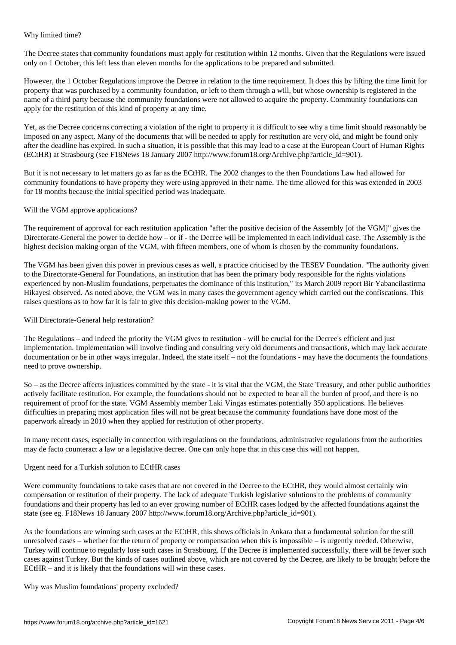The Decree states that community foundations must apply for restitution within 12 months. Given that the Regulations were issued only on 1 October, this left less than eleven months for the applications to be prepared and submitted.

However, the 1 October Regulations improve the Decree in relation to the time requirement. It does this by lifting the time limit for property that was purchased by a community foundation, or left to them through a will, but whose ownership is registered in the name of a third party because the community foundations were not allowed to acquire the property. Community foundations can apply for the restitution of this kind of property at any time.

Yet, as the Decree concerns correcting a violation of the right to property it is difficult to see why a time limit should reasonably be imposed on any aspect. Many of the documents that will be needed to apply for restitution are very old, and might be found only after the deadline has expired. In such a situation, it is possible that this may lead to a case at the European Court of Human Rights (ECtHR) at Strasbourg (see F18News 18 January 2007 http://www.forum18.org/Archive.php?article\_id=901).

But it is not necessary to let matters go as far as the ECtHR. The 2002 changes to the then Foundations Law had allowed for community foundations to have property they were using approved in their name. The time allowed for this was extended in 2003 for 18 months because the initial specified period was inadequate.

## Will the VGM approve applications?

Why limited time?

The requirement of approval for each restitution application "after the positive decision of the Assembly [of the VGM]" gives the Directorate-General the power to decide how – or if - the Decree will be implemented in each individual case. The Assembly is the highest decision making organ of the VGM, with fifteen members, one of whom is chosen by the community foundations.

The VGM has been given this power in previous cases as well, a practice criticised by the TESEV Foundation. "The authority given to the Directorate-General for Foundations, an institution that has been the primary body responsible for the rights violations experienced by non-Muslim foundations, perpetuates the dominance of this institution," its March 2009 report Bir Yabancilastirma Hikayesi observed. As noted above, the VGM was in many cases the government agency which carried out the confiscations. This raises questions as to how far it is fair to give this decision-making power to the VGM.

#### Will Directorate-General help restoration?

The Regulations – and indeed the priority the VGM gives to restitution - will be crucial for the Decree's efficient and just implementation. Implementation will involve finding and consulting very old documents and transactions, which may lack accurate documentation or be in other ways irregular. Indeed, the state itself – not the foundations - may have the documents the foundations need to prove ownership.

So – as the Decree affects injustices committed by the state - it is vital that the VGM, the State Treasury, and other public authorities actively facilitate restitution. For example, the foundations should not be expected to bear all the burden of proof, and there is no requirement of proof for the state. VGM Assembly member Laki Vingas estimates potentially 350 applications. He believes difficulties in preparing most application files will not be great because the community foundations have done most of the paperwork already in 2010 when they applied for restitution of other property.

In many recent cases, especially in connection with regulations on the foundations, administrative regulations from the authorities may de facto counteract a law or a legislative decree. One can only hope that in this case this will not happen.

## Urgent need for a Turkish solution to ECtHR cases

Were community foundations to take cases that are not covered in the Decree to the ECtHR, they would almost certainly win compensation or restitution of their property. The lack of adequate Turkish legislative solutions to the problems of community foundations and their property has led to an ever growing number of ECtHR cases lodged by the affected foundations against the state (see eg. F18News 18 January 2007 http://www.forum18.org/Archive.php?article\_id=901).

As the foundations are winning such cases at the ECtHR, this shows officials in Ankara that a fundamental solution for the still unresolved cases – whether for the return of property or compensation when this is impossible – is urgently needed. Otherwise, Turkey will continue to regularly lose such cases in Strasbourg. If the Decree is implemented successfully, there will be fewer such cases against Turkey. But the kinds of cases outlined above, which are not covered by the Decree, are likely to be brought before the ECtHR – and it is likely that the foundations will win these cases.

Why was Muslim foundations' property excluded?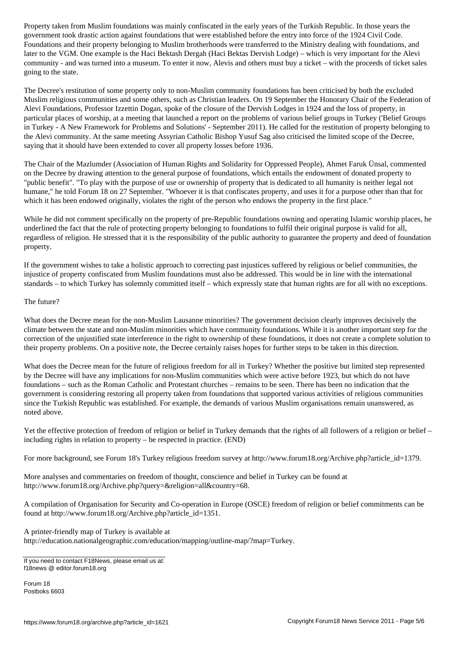government took drastic action against foundations that were established before the entry into force of the 1924 Civil Code. Foundations and their property belonging to Muslim brotherhoods were transferred to the Ministry dealing with foundations, and later to the VGM. One example is the Haci Bektash Dergah (Haci Bektas Dervish Lodge) – which is very important for the Alevi community - and was turned into a museum. To enter it now, Alevis and others must buy a ticket – with the proceeds of ticket sales going to the state.

The Decree's restitution of some property only to non-Muslim community foundations has been criticised by both the excluded Muslim religious communities and some others, such as Christian leaders. On 19 September the Honorary Chair of the Federation of Alevi Foundations, Professor Izzettin Dogan, spoke of the closure of the Dervish Lodges in 1924 and the loss of property, in particular places of worship, at a meeting that launched a report on the problems of various belief groups in Turkey ('Belief Groups in Turkey - A New Framework for Problems and Solutions' - September 2011). He called for the restitution of property belonging to the Alevi community. At the same meeting Assyrian Catholic Bishop Yusuf Sag also criticised the limited scope of the Decree, saying that it should have been extended to cover all property losses before 1936.

The Chair of the Mazlumder (Association of Human Rights and Solidarity for Oppressed People), Ahmet Faruk Ünsal, commented on the Decree by drawing attention to the general purpose of foundations, which entails the endowment of donated property to "public benefit". "To play with the purpose of use or ownership of property that is dedicated to all humanity is neither legal not humane," he told Forum 18 on 27 September. "Whoever it is that confiscates property, and uses it for a purpose other than that for which it has been endowed originally, violates the right of the person who endows the property in the first place."

While he did not comment specifically on the property of pre-Republic foundations owning and operating Islamic worship places, he underlined the fact that the rule of protecting property belonging to foundations to fulfil their original purpose is valid for all, regardless of religion. He stressed that it is the responsibility of the public authority to guarantee the property and deed of foundation property.

If the government wishes to take a holistic approach to correcting past injustices suffered by religious or belief communities, the injustice of property confiscated from Muslim foundations must also be addressed. This would be in line with the international standards – to which Turkey has solemnly committed itself – which expressly state that human rights are for all with no exceptions.

## The future?

What does the Decree mean for the non-Muslim Lausanne minorities? The government decision clearly improves decisively the climate between the state and non-Muslim minorities which have community foundations. While it is another important step for the correction of the unjustified state interference in the right to ownership of these foundations, it does not create a complete solution to their property problems. On a positive note, the Decree certainly raises hopes for further steps to be taken in this direction.

What does the Decree mean for the future of religious freedom for all in Turkey? Whether the positive but limited step represented by the Decree will have any implications for non-Muslim communities which were active before 1923, but which do not have foundations – such as the Roman Catholic and Protestant churches – remains to be seen. There has been no indication that the government is considering restoring all property taken from foundations that supported various activities of religious communities since the Turkish Republic was established. For example, the demands of various Muslim organisations remain unanswered, as noted above.

Yet the effective protection of freedom of religion or belief in Turkey demands that the rights of all followers of a religion or belief – including rights in relation to property – be respected in practice. (END)

For more background, see Forum 18's Turkey religious freedom survey at http://www.forum18.org/Archive.php?article\_id=1379.

More analyses and commentaries on freedom of thought, conscience and belief in Turkey can be found at http://www.forum18.org/Archive.php?query=&religion=all&country=68.

A compilation of Organisation for Security and Co-operation in Europe (OSCE) freedom of religion or belief commitments can be found at http://www.forum18.org/Archive.php?article\_id=1351.

A printer-friendly map of Turkey is available at http://education.nationalgeographic.com/education/mapping/outline-map/?map=Turkey.

Forum 18 Postboks 6603

If you need to contact F18News, please email us at: f18news @ editor.forum18.org